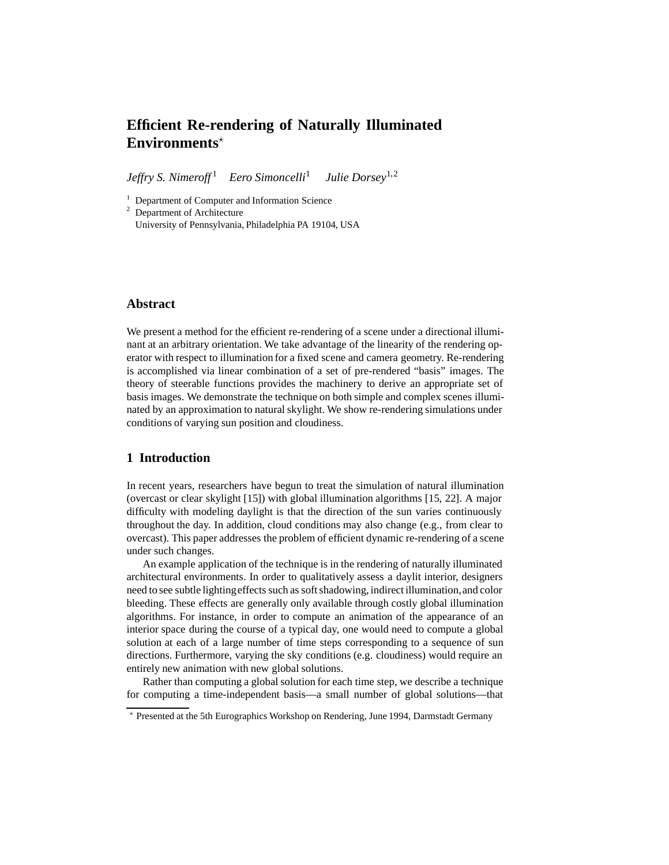# **Efficient Re-rendering of Naturally Illuminated Environments**?

*Jeffry S. Nimeroff*<sup>1</sup> *Eero Simoncelli*<sup>1</sup> *Julie Dorsey*<sup>1,2</sup>

 $<sup>1</sup>$  Department of Computer and Information Science</sup>

<sup>2</sup> Department of Architecture

University of Pennsylvania, Philadelphia PA 19104, USA

# **Abstract**

We present a method for the efficient re-rendering of a scene under a directional illuminant at an arbitrary orientation. We take advantage of the linearity of the rendering operator with respect to illumination for a fixed scene and camera geometry. Re-rendering is accomplished via linear combination of a set of pre-rendered "basis" images. The theory of steerable functions provides the machinery to derive an appropriate set of basis images. We demonstrate the technique on both simple and complex scenes illuminated by an approximation to natural skylight. We show re-rendering simulations under conditions of varying sun position and cloudiness.

# **1 Introduction**

In recent years, researchers have begun to treat the simulation of natural illumination (overcast or clear skylight [15]) with global illumination algorithms [15, 22]. A major difficulty with modeling daylight is that the direction of the sun varies continuously throughout the day. In addition, cloud conditions may also change (e.g., from clear to overcast). This paper addresses the problem of efficient dynamic re-rendering of a scene under such changes.

An example application of the technique is in the rendering of naturally illuminated architectural environments. In order to qualitatively assess a daylit interior, designers need to see subtle lightingeffects such as soft shadowing, indirect illumination,and color bleeding. These effects are generally only available through costly global illumination algorithms. For instance, in order to compute an animation of the appearance of an interior space during the course of a typical day, one would need to compute a global solution at each of a large number of time steps corresponding to a sequence of sun directions. Furthermore, varying the sky conditions (e.g. cloudiness) would require an entirely new animation with new global solutions.

Rather than computing a global solution for each time step, we describe a technique for computing a time-independent basis—a small number of global solutions—that

<sup>?</sup> Presented at the 5th Eurographics Workshop on Rendering, June 1994, Darmstadt Germany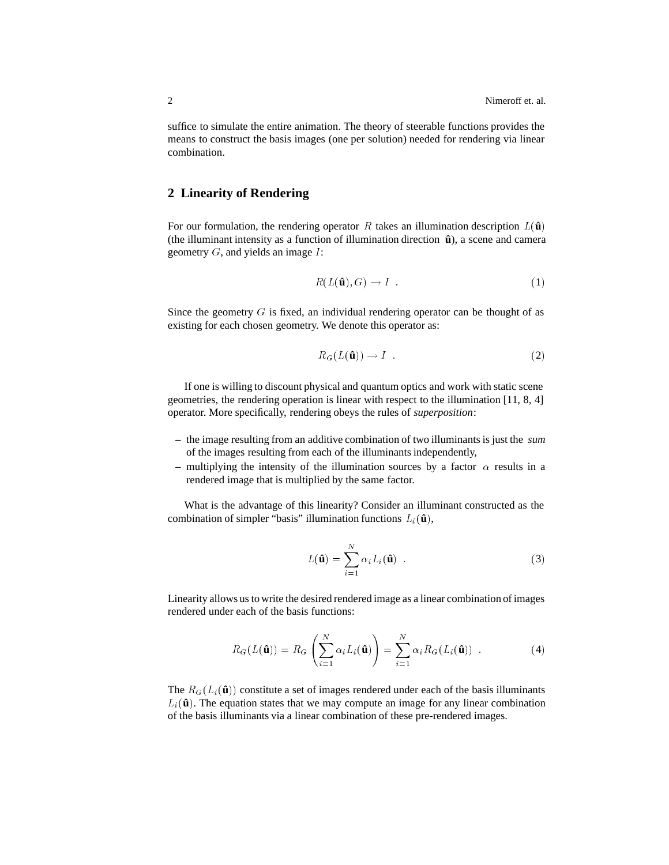suffice to simulate the entire animation. The theory of steerable functions provides the means to construct the basis images (one per solution) needed for rendering via linear combination.

## **2 Linearity of Rendering**

For our formulation, the rendering operator R takes an illumination description  $L(\hat{u})$ (the illuminant intensity as a function of illumination direction  $\hat{u}$ ), a scene and camera geometry  $G$ , and yields an image  $I$ :

$$
R(L(\hat{\mathbf{u}}), G) \to I . \tag{1}
$$

Since the geometry  $G$  is fixed, an individual rendering operator can be thought of as existing for each chosen geometry. We denote this operator as:

$$
R_G(L(\hat{\mathbf{u}})) \to I \tag{2}
$$

If one is willing to discount physical and quantum optics and work with static scene geometries, the rendering operation is linear with respect to the illumination [11, 8, 4] operator. More specifically, rendering obeys the rules of *superposition*:

- **–** the image resulting from an additive combination of two illuminants is just the *sum* of the images resulting from each of the illuminants independently,
- multiplying the intensity of the illumination sources by a factor  $\alpha$  results in a rendered image that is multiplied by the same factor.

What is the advantage of this linearity? Consider an illuminant constructed as the combination of simpler "basis" illumination functions  $L_i(\hat{\mathbf{u}})$ ,

$$
L(\hat{\mathbf{u}}) = \sum_{i=1}^{N} \alpha_i L_i(\hat{\mathbf{u}})
$$
 (3)

Linearity allows us to write the desired rendered image as a linear combination of images rendered under each of the basis functions:

$$
R_G(L(\hat{\mathbf{u}})) = R_G\left(\sum_{i=1}^N \alpha_i L_i(\hat{\mathbf{u}})\right) = \sum_{i=1}^N \alpha_i R_G(L_i(\hat{\mathbf{u}})) \quad . \tag{4}
$$

The  $R_G(L_i(\hat{\mathbf{u}}))$  constitute a set of images rendered under each of the basis illuminants  $L_i(\hat{\mathbf{u}})$ . The equation states that we may compute an image for any linear combination of the basis illuminants via a linear combination of these pre-rendered images.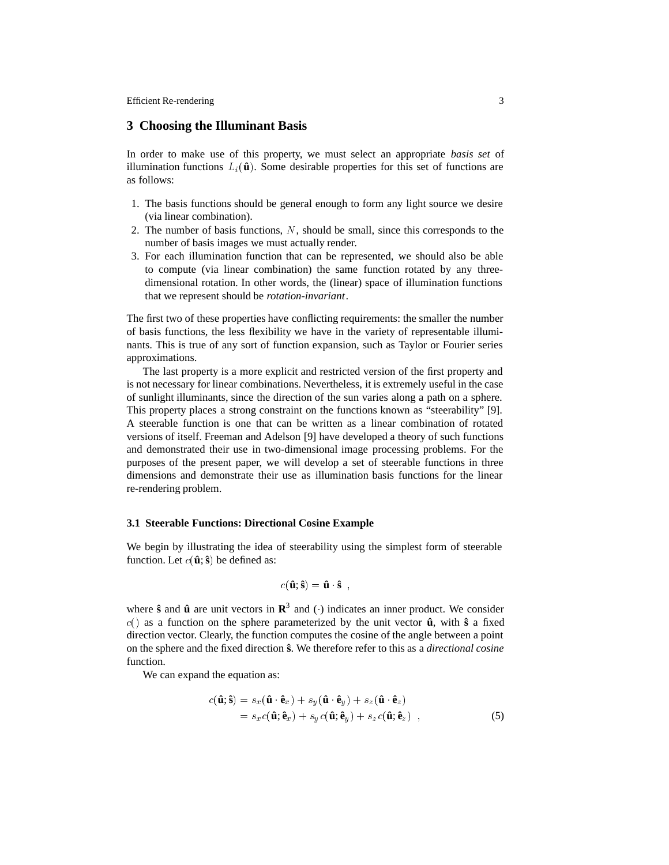# **3 Choosing the Illuminant Basis**

In order to make use of this property, we must select an appropriate *basis set* of illumination functions  $L_i(\hat{\mathbf{u}})$ . Some desirable properties for this set of functions are as follows:

- 1. The basis functions should be general enough to form any light source we desire (via linear combination).
- 2. The number of basis functions,  $N$ , should be small, since this corresponds to the number of basis images we must actually render.
- 3. For each illumination function that can be represented, we should also be able to compute (via linear combination) the same function rotated by any threedimensional rotation. In other words, the (linear) space of illumination functions that we represent should be *rotation-invariant*.

The first two of these properties have conflicting requirements: the smaller the number of basis functions, the less flexibility we have in the variety of representable illuminants. This is true of any sort of function expansion, such as Taylor or Fourier series approximations.

The last property is a more explicit and restricted version of the first property and is not necessary for linear combinations. Nevertheless, it is extremely useful in the case of sunlight illuminants, since the direction of the sun varies along a path on a sphere. This property places a strong constraint on the functions known as "steerability" [9]. A steerable function is one that can be written as a linear combination of rotated versions of itself. Freeman and Adelson [9] have developed a theory of such functions and demonstrated their use in two-dimensional image processing problems. For the purposes of the present paper, we will develop a set of steerable functions in three dimensions and demonstrate their use as illumination basis functions for the linear re-rendering problem.

## **3.1 Steerable Functions: Directional Cosine Example**

We begin by illustrating the idea of steerability using the simplest form of steerable function. Let  $c(\hat{\mathbf{u}}; \hat{\mathbf{s}})$  be defined as:

$$
c(\mathbf{\hat{u}};\mathbf{\hat{s}}) = \mathbf{\hat{u}} \cdot \mathbf{\hat{s}} \enspace ,
$$

where  $\hat{\mathbf{s}}$  and  $\hat{\mathbf{u}}$  are unit vectors in  $\mathbb{R}^3$  and () indicates an inner product. We consider  $c()$  as a function on the sphere parameterized by the unit vector  $\hat{u}$ , with  $\hat{s}$  a fixed direction vector. Clearly, the function computes the cosine of the angle between a point on the sphere and the fixed direction **sˆ**. We therefore refer to this as a *directional cosine* function.

We can expand the equation as:

$$
c(\hat{\mathbf{u}}; \hat{\mathbf{s}}) = s_x(\hat{\mathbf{u}} \cdot \hat{\mathbf{e}}_x) + s_y(\hat{\mathbf{u}} \cdot \hat{\mathbf{e}}_y) + s_z(\hat{\mathbf{u}} \cdot \hat{\mathbf{e}}_z)
$$
  
=  $s_x c(\hat{\mathbf{u}}; \hat{\mathbf{e}}_x) + s_y c(\hat{\mathbf{u}}; \hat{\mathbf{e}}_y) + s_z c(\hat{\mathbf{u}}; \hat{\mathbf{e}}_z)$  (5)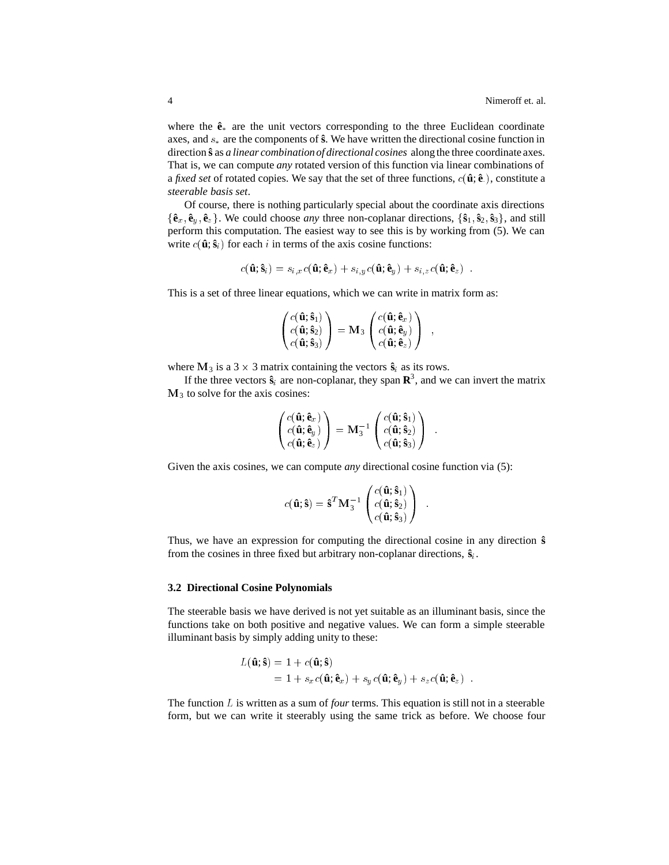where the  $\hat{\mathbf{e}}_*$  are the unit vectors corresponding to the three Euclidean coordinate axes, and  $s_*$  are the components of  $\hat{\mathbf{s}}$ . We have written the directional cosine function in direction  $\hat{\mathbf{s}}$  as *a linear combination of directional cosines* along the three coordinate axes. That is, we can compute *any* rotated version of this function via linear combinations of a *fixed set* of rotated copies. We say that the set of three functions,  $c(\hat{\mathbf{u}}; \hat{\mathbf{e}})$ , constitute a *steerable basis set*.

Of course, there is nothing particularly special about the coordinate axis directions  $\{\hat{\mathbf{e}}_x, \hat{\mathbf{e}}_y, \hat{\mathbf{e}}_z\}$ . We could choose *any* three non-coplanar directions,  $\{\hat{\mathbf{s}}_1, \hat{\mathbf{s}}_2, \hat{\mathbf{s}}_3\}$ , and still perform this computation. The easiest way to see this is by working from (5). We can write  $c(\hat{\mathbf{u}}; \hat{\mathbf{s}}_i)$  for each i in terms of the axis cosine functions:

$$
c(\mathbf{\hat{u}}; \mathbf{\hat{s}}_i) = s_{i,x}c(\mathbf{\hat{u}}; \mathbf{\hat{e}}_x) + s_{i,y}c(\mathbf{\hat{u}}; \mathbf{\hat{e}}_y) + s_{i,z}c(\mathbf{\hat{u}}; \mathbf{\hat{e}}_z)
$$

This is a set of three linear equations, which we can write in matrix form as:

$$
\begin{pmatrix} c(\mathbf{\hat{u}}; \mathbf{\hat{s}}_1) \\ c(\mathbf{\hat{u}}; \mathbf{\hat{s}}_2) \\ c(\mathbf{\hat{u}}; \mathbf{\hat{s}}_3) \end{pmatrix} = \mathbf{M}_3 \begin{pmatrix} c(\mathbf{\hat{u}}; \mathbf{\hat{e}}_x) \\ c(\mathbf{\hat{u}}; \mathbf{\hat{e}}_y) \\ c(\mathbf{\hat{u}}; \mathbf{\hat{e}}_z) \end{pmatrix} ,
$$

where  $M_3$  is a 3  $\times$  3 matrix containing the vectors  $\hat{\mathbf{s}}_i$  as its rows.

If the three vectors  $\hat{\mathbf{s}}_i$  are non-coplanar, they span  $\mathbb{R}^3$ , and we can invert the matrix  $M_3$  to solve for the axis cosines:

$$
\begin{pmatrix} c(\mathbf{\hat{u}};\mathbf{\hat{e}}_x) \\ c(\mathbf{\hat{u}};\mathbf{\hat{e}}_y) \\ c(\mathbf{\hat{u}};\mathbf{\hat{e}}_z) \end{pmatrix} = \mathbf{M}_3^{-1} \begin{pmatrix} c(\mathbf{\hat{u}};\mathbf{\hat{s}}_1) \\ c(\mathbf{\hat{u}};\mathbf{\hat{s}}_2) \\ c(\mathbf{\hat{u}};\mathbf{\hat{s}}_3) \end{pmatrix} .
$$

Given the axis cosines, we can compute *any* directional cosine function via (5):

$$
c(\mathbf{\hat{u}}; \mathbf{\hat{s}}) = \mathbf{\hat{s}}^T \mathbf{M}_3^{-1} \begin{pmatrix} c(\mathbf{\hat{u}}; \mathbf{\hat{s}}_1) \\ c(\mathbf{\hat{u}}; \mathbf{\hat{s}}_2) \\ c(\mathbf{\hat{u}}; \mathbf{\hat{s}}_3) \end{pmatrix} .
$$

Thus, we have an expression for computing the directional cosine in any direction **sˆ** from the cosines in three fixed but arbitrary non-coplanar directions,  $\hat{\mathbf{s}}_i$ .

#### **3.2 Directional Cosine Polynomials**

The steerable basis we have derived is not yet suitable as an illuminant basis, since the functions take on both positive and negative values. We can form a simple steerable illuminant basis by simply adding unity to these:

$$
L(\hat{\mathbf{u}}; \hat{\mathbf{s}}) = 1 + c(\hat{\mathbf{u}}; \hat{\mathbf{s}})
$$
  
= 1 + s<sub>x</sub>c(\hat{\mathbf{u}}; \hat{\mathbf{e}}\_x) + s\_y c(\hat{\mathbf{u}}; \hat{\mathbf{e}}\_y) + s\_z c(\hat{\mathbf{u}}; \hat{\mathbf{e}}\_z) .

The function <sup>L</sup> is written as a sum of *four* terms. This equation is still not in a steerable form, but we can write it steerably using the same trick as before. We choose four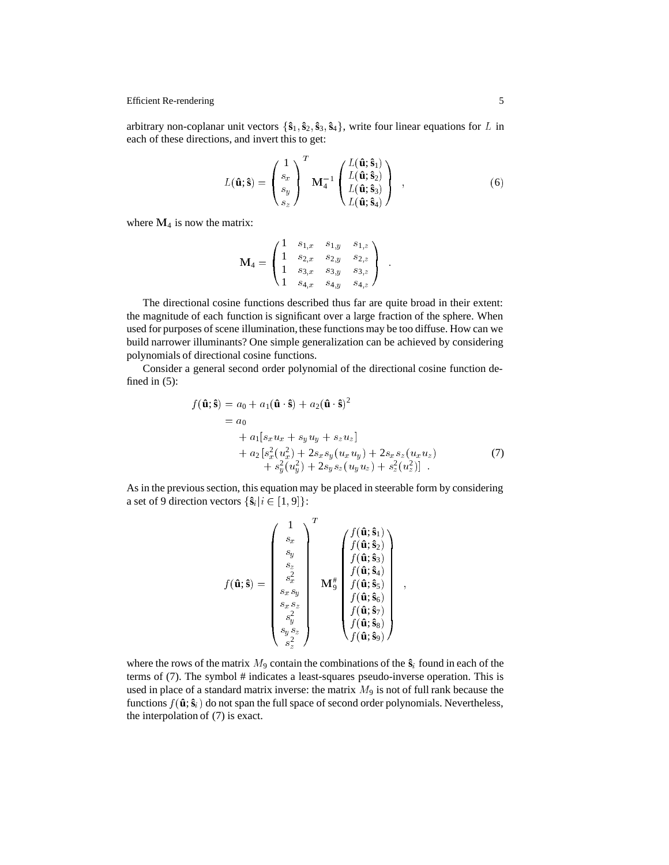arbitrary non-coplanar unit vectors  $\{\hat{\mathbf{s}}_1, \hat{\mathbf{s}}_2, \hat{\mathbf{s}}_3, \hat{\mathbf{s}}_4\}$ , write four linear equations for L in each of these directions, and invert this to get:

$$
L(\hat{\mathbf{u}};\hat{\mathbf{s}}) = \begin{pmatrix} 1 \\ s_x \\ s_y \\ s_z \end{pmatrix}^T \mathbf{M}_4^{-1} \begin{pmatrix} L(\hat{\mathbf{u}};\hat{\mathbf{s}}_1) \\ L(\hat{\mathbf{u}};\hat{\mathbf{s}}_2) \\ L(\hat{\mathbf{u}};\hat{\mathbf{s}}_3) \\ L(\hat{\mathbf{u}};\hat{\mathbf{s}}_4) \end{pmatrix} ,
$$
 (6)

where  $M_4$  is now the matrix:

$$
\mathbf{M}_4 = \begin{pmatrix} 1 & s_{1,x} & s_{1,y} & s_{1,z} \\ 1 & s_{2,x} & s_{2,y} & s_{2,z} \\ 1 & s_{3,x} & s_{3,y} & s_{3,z} \\ 1 & s_{4,x} & s_{4,y} & s_{4,z} \end{pmatrix} \enspace .
$$

The directional cosine functions described thus far are quite broad in their extent: the magnitude of each function is significant over a large fraction of the sphere. When used for purposes of scene illumination, these functions may be too diffuse. How can we build narrower illuminants? One simple generalization can be achieved by considering polynomials of directional cosine functions.

Consider a general second order polynomial of the directional cosine function defined in (5):

$$
f(\hat{\mathbf{u}}; \hat{\mathbf{s}}) = a_0 + a_1(\hat{\mathbf{u}} \cdot \hat{\mathbf{s}}) + a_2(\hat{\mathbf{u}} \cdot \hat{\mathbf{s}})^2
$$
  
=  $a_0$   
+  $a_1[s_x u_x + s_y u_y + s_z u_z]$   
+  $a_2[s_x^2(u_x^2) + 2s_x s_y(u_x u_y) + 2s_x s_z(u_x u_z)$   
+  $s_y^2(u_y^2) + 2s_y s_z(u_y u_z) + s_z^2(u_z^2)]$  (7)

As in the previous section, this equation may be placed in steerable form by considering a set of 9 direction vectors  $\{\hat{\mathbf{s}}_i | i \in [1, 9]\}$ :

$$
f(\hat{\mathbf{u}};\hat{\mathbf{s}}) = \begin{pmatrix} 1 \\ s_x \\ s_y \\ s_z \\ s_z \\ s_x s_y \\ s_x s_z \\ s_y s_z \\ s_y s_z \\ s_y s_z \\ s_z^2 \end{pmatrix} \mathbf{M}_{9}^{\#} \begin{pmatrix} f(\hat{\mathbf{u}};\hat{\mathbf{s}}_1) \\ f(\hat{\mathbf{u}};\hat{\mathbf{s}}_2) \\ f(\hat{\mathbf{u}};\hat{\mathbf{s}}_3) \\ f(\hat{\mathbf{u}};\hat{\mathbf{s}}_4) \\ f(\hat{\mathbf{u}};\hat{\mathbf{s}}_5) \\ f(\hat{\mathbf{u}};\hat{\mathbf{s}}_6) \\ f(\hat{\mathbf{u}};\hat{\mathbf{s}}_7) \\ f(\hat{\mathbf{u}};\hat{\mathbf{s}}_8) \\ f(\hat{\mathbf{u}};\hat{\mathbf{s}}_8) \end{pmatrix} ,
$$

where the rows of the matrix  $M_9$  contain the combinations of the  $\hat{\mathbf{s}}_i$  found in each of the terms of (7). The symbol # indicates a least-squares pseudo-inverse operation. This is used in place of a standard matrix inverse: the matrix  $M_9$  is not of full rank because the functions  $f(\hat{\mathbf{u}}; \hat{\mathbf{s}}_i)$  do not span the full space of second order polynomials. Nevertheless, the interpolation of (7) is exact.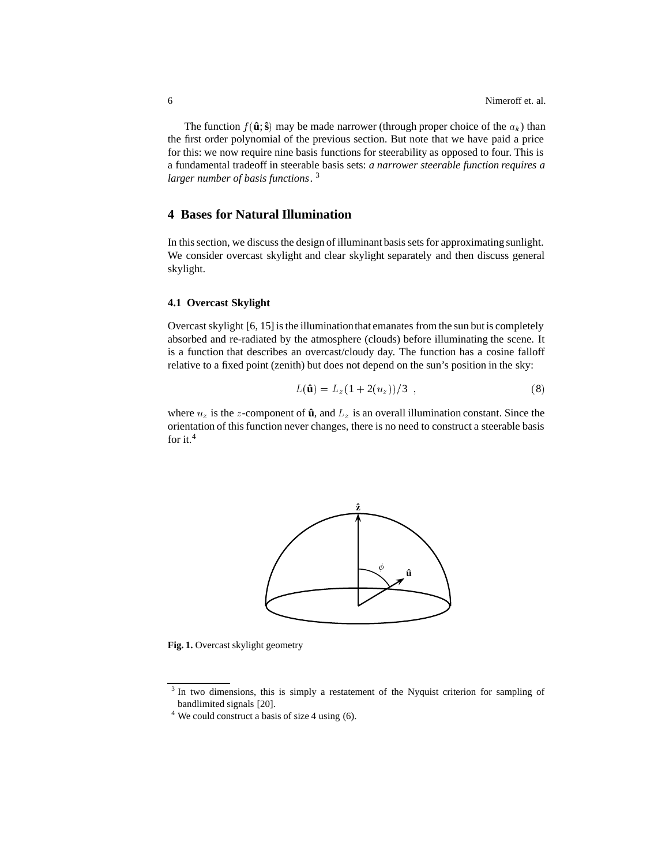The function  $f(\hat{\mathbf{u}}; \hat{\mathbf{s}})$  may be made narrower (through proper choice of the  $a_k$ ) than the first order polynomial of the previous section. But note that we have paid a price for this: we now require nine basis functions for steerability as opposed to four. This is a fundamental tradeoff in steerable basis sets: *a narrower steerable function requires a larger number of basis functions*. <sup>3</sup>

# **4 Bases for Natural Illumination**

In this section, we discuss the design of illuminant basis sets for approximating sunlight. We consider overcast skylight and clear skylight separately and then discuss general skylight.

### **4.1 Overcast Skylight**

Overcast skylight [6, 15] is the illuminationthat emanates from the sun but is completely absorbed and re-radiated by the atmosphere (clouds) before illuminating the scene. It is a function that describes an overcast/cloudy day. The function has a cosine falloff relative to a fixed point (zenith) but does not depend on the sun's position in the sky:

$$
L(\hat{\mathbf{u}}) = L_z(1 + 2(u_z))/3 \tag{8}
$$

where  $u_z$  is the z-component of  $\hat{\mathbf{u}}$ , and  $L_z$  is an overall illumination constant. Since the orientation of this function never changes, there is no need to construct a steerable basis for it.<sup>4</sup>



**Fig. 1.** Overcast skylight geometry

<sup>&</sup>lt;sup>3</sup> In two dimensions, this is simply a restatement of the Nyquist criterion for sampling of bandlimited signals [20].

 $4$  We could construct a basis of size 4 using (6).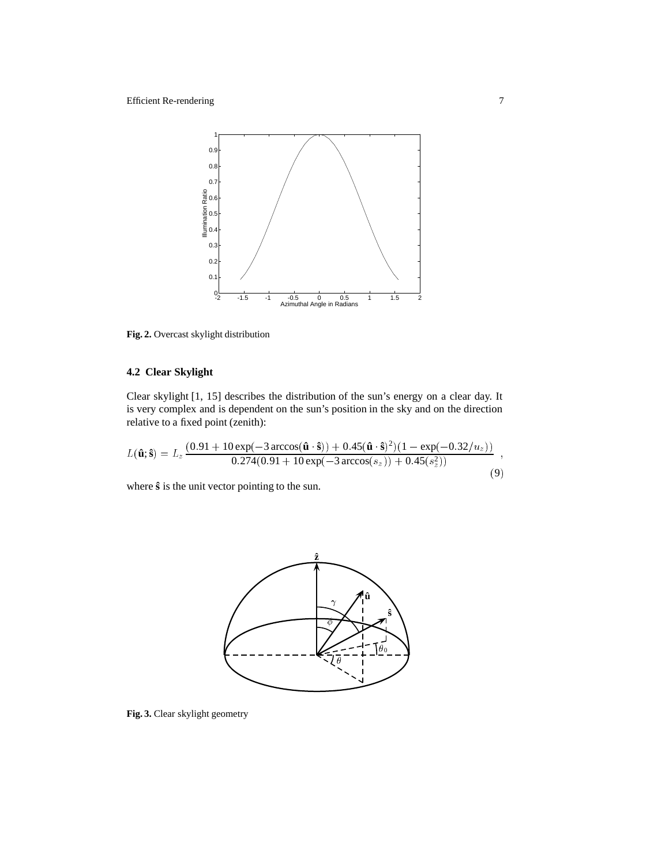

**Fig. 2.** Overcast skylight distribution

# **4.2 Clear Skylight**

Clear skylight [1, 15] describes the distribution of the sun's energy on a clear day. It is very complex and is dependent on the sun's position in the sky and on the direction relative to a fixed point (zenith):

$$
L(\mathbf{\hat{u}}; \mathbf{\hat{s}}) = L_z \frac{(0.91 + 10 \exp(-3 \arccos(\mathbf{\hat{u}} \cdot \mathbf{\hat{s}})) + 0.45(\mathbf{\hat{u}} \cdot \mathbf{\hat{s}})^2)(1 - \exp(-0.32/u_z))}{0.274(0.91 + 10 \exp(-3 \arccos(s_z)) + 0.45(s_z^2))},
$$
(9)

2

where  $\hat{\mathbf{s}}$  is the unit vector pointing to the sun.



**Fig. 3.** Clear skylight geometry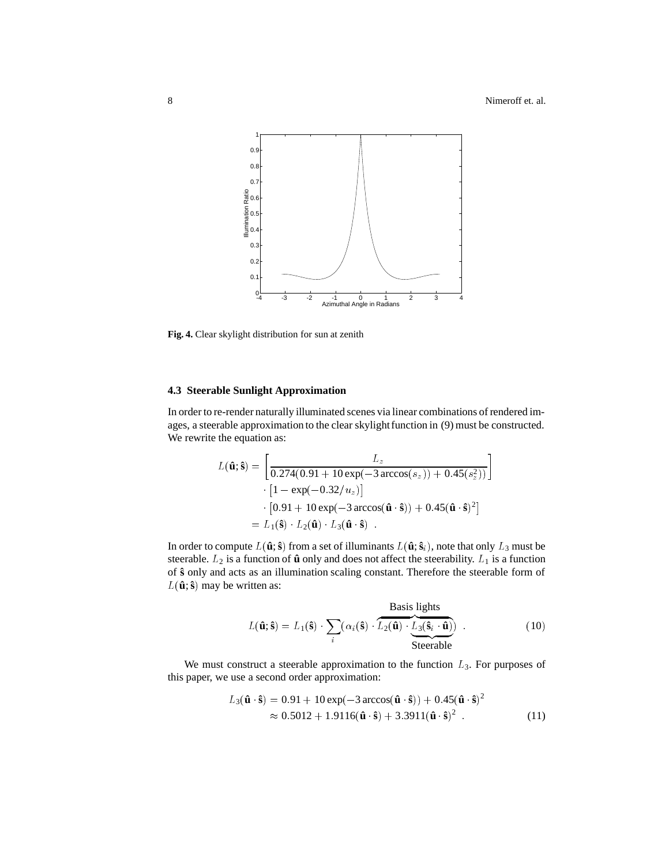

**Fig. 4.** Clear skylight distribution for sun at zenith

## **4.3 Steerable Sunlight Approximation**

In order to re-render naturally illuminated scenes via linear combinations of rendered images, a steerable approximation to the clear skylight function in (9) must be constructed. We rewrite the equation as:

$$
L(\mathbf{\hat{u}}; \mathbf{\hat{s}}) = \left[\frac{L_z}{0.274(0.91 + 10 \exp(-3 \arccos(s_z)) + 0.45(s_z^2))}\right]
$$

$$
\cdot \left[1 - \exp(-0.32/u_z)\right]
$$

$$
\cdot \left[0.91 + 10 \exp(-3 \arccos(\mathbf{\hat{u}} \cdot \mathbf{\hat{s}})) + 0.45(\mathbf{\hat{u}} \cdot \mathbf{\hat{s}})^2\right]
$$

$$
= L_1(\mathbf{\hat{s}}) \cdot L_2(\mathbf{\hat{u}}) \cdot L_3(\mathbf{\hat{u}} \cdot \mathbf{\hat{s}})
$$

In order to compute  $L(\hat{\mathbf{u}}; \hat{\mathbf{s}})$  from a set of illuminants  $L(\hat{\mathbf{u}}; \hat{\mathbf{s}}_i)$ , note that only  $L_3$  must be steerable.  $L_2$  is a function of  $\hat{u}$  only and does not affect the steerability.  $L_1$  is a function of **sˆ** only and acts as an illumination scaling constant. Therefore the steerable form of  $L(\hat{\mathbf{u}}; \hat{\mathbf{s}})$  may be written as:

Basis lights  

$$
L(\hat{\mathbf{u}};\hat{\mathbf{s}}) = L_1(\hat{\mathbf{s}}) \cdot \sum_i (\alpha_i(\hat{\mathbf{s}}) \cdot \overbrace{L_2(\hat{\mathbf{u}}) \cdot L_3(\hat{\mathbf{s}}_i \cdot \hat{\mathbf{u}})}^{\text{Basis lights}}) \quad . \tag{10}
$$

We must construct a steerable approximation to the function  $L_3$ . For purposes of this paper, we use a second order approximation:

$$
L_3(\hat{\mathbf{u}} \cdot \hat{\mathbf{s}}) = 0.91 + 10 \exp(-3 \arccos(\hat{\mathbf{u}} \cdot \hat{\mathbf{s}})) + 0.45(\hat{\mathbf{u}} \cdot \hat{\mathbf{s}})^2
$$
  
\n
$$
\approx 0.5012 + 1.9116(\hat{\mathbf{u}} \cdot \hat{\mathbf{s}}) + 3.3911(\hat{\mathbf{u}} \cdot \hat{\mathbf{s}})^2
$$
\n(11)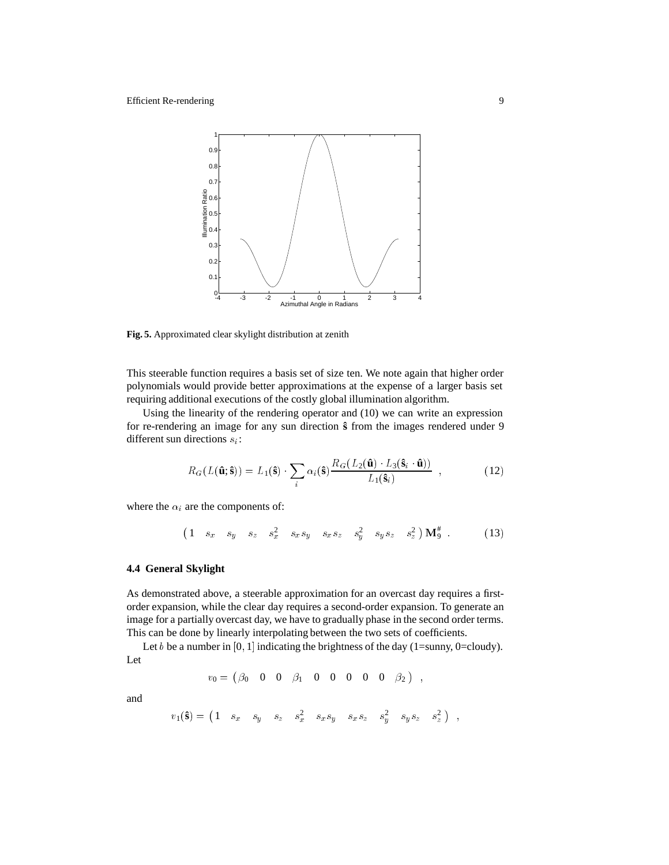

**Fig. 5.** Approximated clear skylight distribution at zenith

This steerable function requires a basis set of size ten. We note again that higher order polynomials would provide better approximations at the expense of a larger basis set requiring additional executions of the costly global illumination algorithm.

Using the linearity of the rendering operator and (10) we can write an expression for re-rendering an image for any sun direction **sˆ** from the images rendered under 9 different sun directions  $s_i$ :

$$
R_G(L(\mathbf{\hat{u}}; \mathbf{\hat{s}})) = L_1(\mathbf{\hat{s}}) \cdot \sum_i \alpha_i(\mathbf{\hat{s}}) \frac{R_G(L_2(\mathbf{\hat{u}}) \cdot L_3(\mathbf{\hat{s}}_i \cdot \mathbf{\hat{u}}))}{L_1(\mathbf{\hat{s}}_i)} \quad , \tag{12}
$$

where the  $\alpha_i$  are the components of:

$$
\begin{pmatrix} 1 & s_x & s_y & s_z & s_x^2 & s_x s_y & s_x s_z & s_y^2 & s_y s_z & s_z^2 \end{pmatrix} \mathbf{M}_9^{\#} \tag{13}
$$

#### **4.4 General Skylight**

As demonstrated above, a steerable approximation for an overcast day requires a firstorder expansion, while the clear day requires a second-order expansion. To generate an image for a partially overcast day, we have to gradually phase in the second order terms. This can be done by linearly interpolating between the two sets of coefficients.

Let b be a number in [0, 1] indicating the brightness of the day (1=sunny, 0=cloudy). Let

$$
v_0 = \begin{pmatrix} \beta_0 & 0 & 0 & \beta_1 & 0 & 0 & 0 & 0 & \beta_2 \end{pmatrix} ,
$$

and

$$
v_1(\hat{\mathbf{s}}) = (1 \ s_x \ s_y \ s_z \ s_x^2 \ s_x s_y \ s_x s_z \ s_y^2 \ s_y s_z \ s_z^2),
$$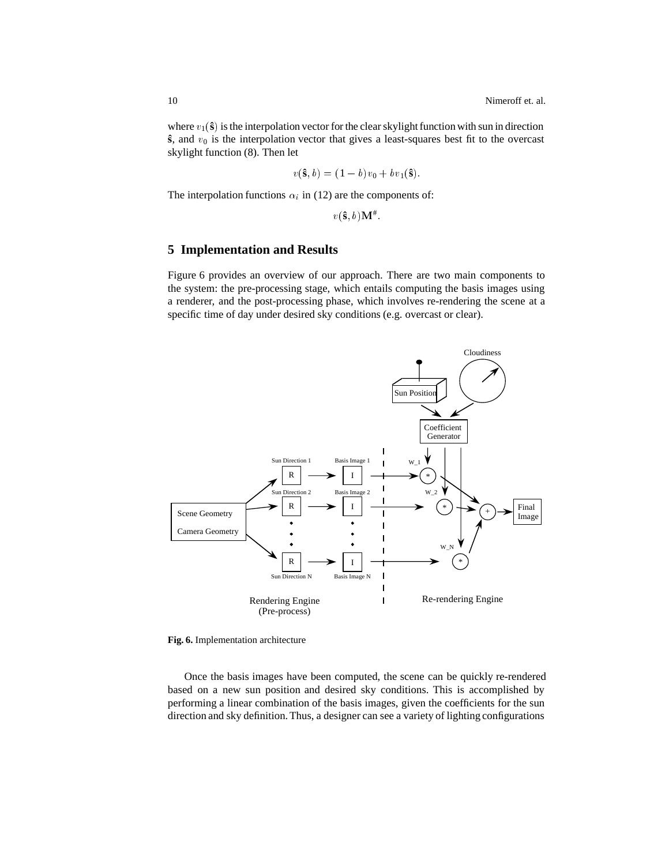where  $v_1(\hat{\mathbf{s}})$  is the interpolation vector for the clear skylight function with sun in direction  $\hat{\mathbf{s}}$ , and  $v_0$  is the interpolation vector that gives a least-squares best fit to the overcast skylight function (8). Then let

$$
v(\hat{\mathbf{s}},b)=(1-b)v_0+bv_1(\hat{\mathbf{s}}).
$$

The interpolation functions  $\alpha_i$  in (12) are the components of:

 $v({\bf \hat{s}},b) {\bf M}^{\#}.$ 

## **5 Implementation and Results**

Figure 6 provides an overview of our approach. There are two main components to the system: the pre-processing stage, which entails computing the basis images using a renderer, and the post-processing phase, which involves re-rendering the scene at a specific time of day under desired sky conditions (e.g. overcast or clear).



**Fig. 6.** Implementation architecture

Once the basis images have been computed, the scene can be quickly re-rendered based on a new sun position and desired sky conditions. This is accomplished by performing a linear combination of the basis images, given the coefficients for the sun direction and sky definition. Thus, a designer can see a variety of lighting configurations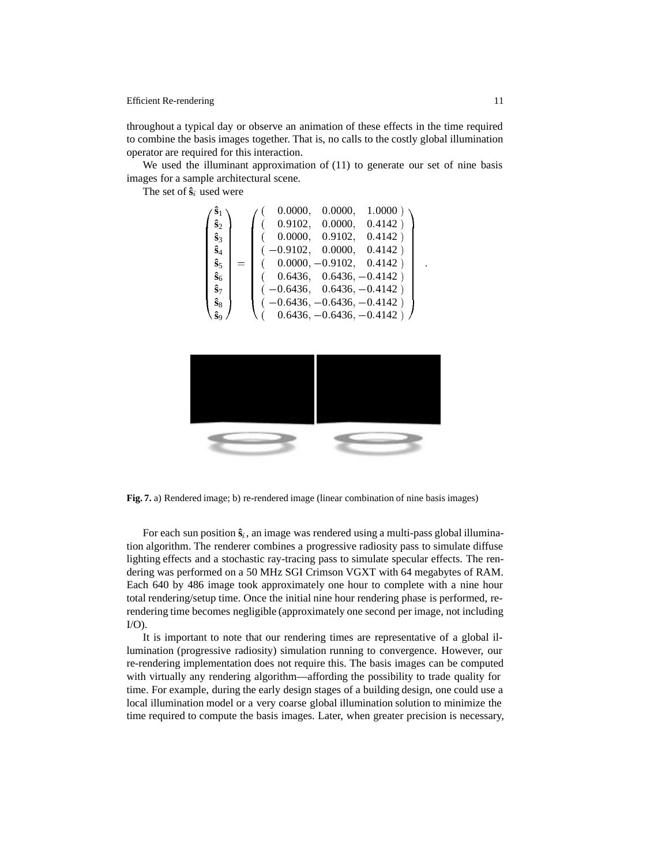throughout a typical day or observe an animation of these effects in the time required to combine the basis images together. That is, no calls to the costly global illumination operator are required for this interaction.

We used the illuminant approximation of  $(11)$  to generate our set of nine basis images for a sample architectural scene.

The set of  $\hat{\mathbf{s}}_i$  used were

| ŝı                   |     |                                  |
|----------------------|-----|----------------------------------|
| $\mathbf{\hat{s}}_2$ |     | $0.9102$ , $0.0000$ , $0.4142$ ) |
| $\mathbf{\hat{s}}_3$ |     | 0.000000009102004142)            |
| $\mathbf{\hat{s}}_4$ |     | $(-0.9102, 0.0000, 0.4142)$      |
| $\hat{\mathbf{s}}_5$ | $=$ | $(0.0000, -0.9102, 0.4142)$      |
| $\mathbf{\hat{s}}_6$ |     | $0.6436, 0.6436, -0.4142)$       |
| $\mathbf{\hat{s}}_7$ |     | $(-0.6436, 0.6436, -0.4142)$     |
| $\mathbf{\hat{s}}_8$ |     | $(-0.6436, -0.6436, -0.4142)$    |
| ŝq                   |     | $0.6436, -0.6436, -0.4142)$      |



**Fig. 7.** a) Rendered image; b) re-rendered image (linear combination of nine basis images)

For each sun position  $\hat{\mathbf{s}}_i$ , an image was rendered using a multi-pass global illumination algorithm. The renderer combines a progressive radiosity pass to simulate diffuse lighting effects and a stochastic ray-tracing pass to simulate specular effects. The rendering was performed on a 50 MHz SGI Crimson VGXT with 64 megabytes of RAM. Each 640 by 486 image took approximately one hour to complete with a nine hour total rendering/setup time. Once the initial nine hour rendering phase is performed, rerendering time becomes negligible (approximately one second per image, not including  $I/O$ ).

It is important to note that our rendering times are representative of a global illumination (progressive radiosity) simulation running to convergence. However, our re-rendering implementation does not require this. The basis images can be computed with virtually any rendering algorithm—affording the possibility to trade quality for time. For example, during the early design stages of a building design, one could use a local illumination model or a very coarse global illumination solution to minimize the time required to compute the basis images. Later, when greater precision is necessary,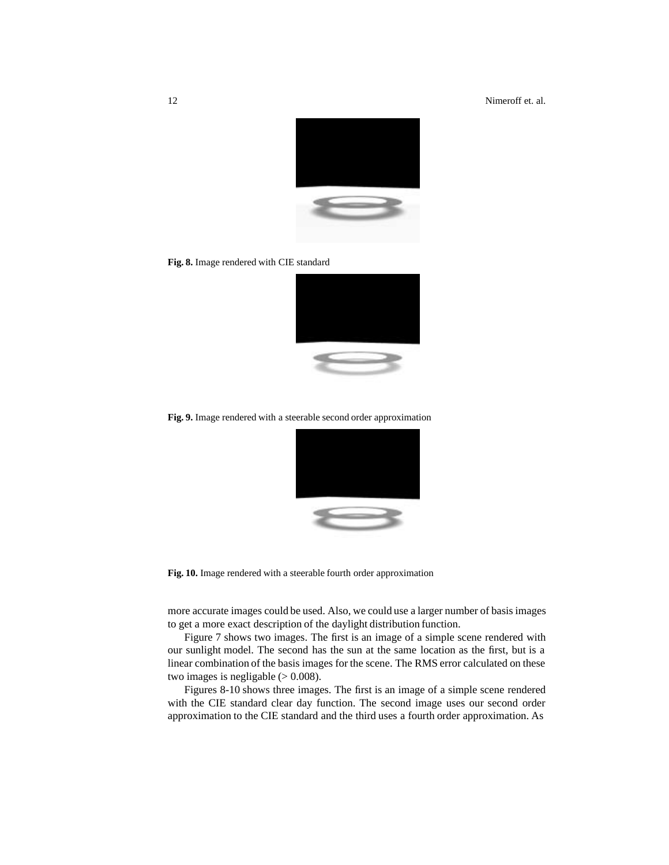## 12 Nimeroff et. al.



**Fig. 8.** Image rendered with CIE standard



**Fig. 9.** Image rendered with a steerable second order approximation



**Fig. 10.** Image rendered with a steerable fourth order approximation

more accurate images could be used. Also, we could use a larger number of basis images to get a more exact description of the daylight distribution function.

Figure 7 shows two images. The first is an image of a simple scene rendered with our sunlight model. The second has the sun at the same location as the first, but is a linear combination of the basis images for the scene. The RMS error calculated on these two images is negligable  $(> 0.008)$ .

Figures 8-10 shows three images. The first is an image of a simple scene rendered with the CIE standard clear day function. The second image uses our second order approximation to the CIE standard and the third uses a fourth order approximation. As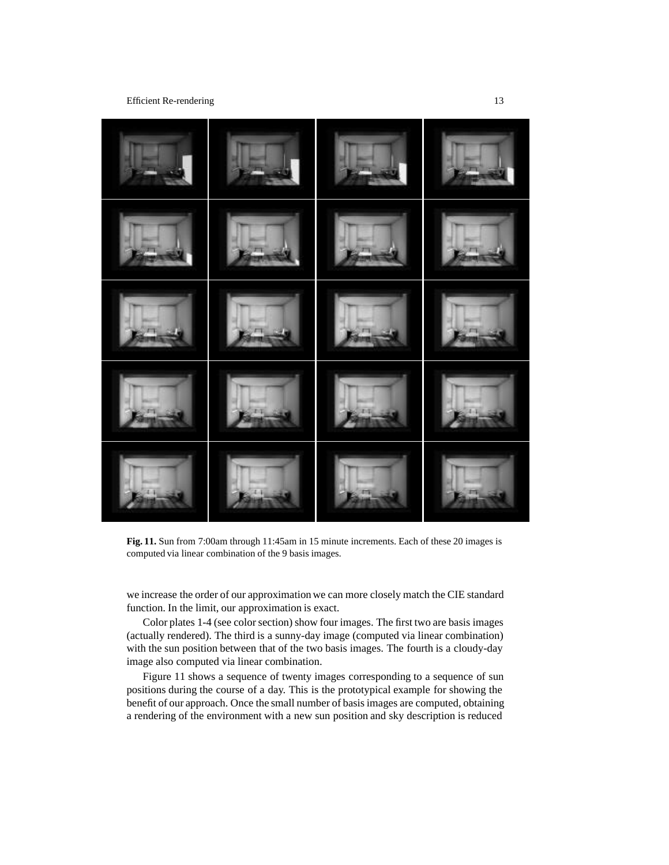

**Fig. 11.** Sun from 7:00am through 11:45am in 15 minute increments. Each of these 20 images is computed via linear combination of the 9 basis images.

we increase the order of our approximation we can more closely match the CIE standard function. In the limit, our approximation is exact.

Color plates 1-4 (see color section) show four images. The first two are basis images (actually rendered). The third is a sunny-day image (computed via linear combination) with the sun position between that of the two basis images. The fourth is a cloudy-day image also computed via linear combination.

Figure 11 shows a sequence of twenty images corresponding to a sequence of sun positions during the course of a day. This is the prototypical example for showing the benefit of our approach. Once the small number of basis images are computed, obtaining a rendering of the environment with a new sun position and sky description is reduced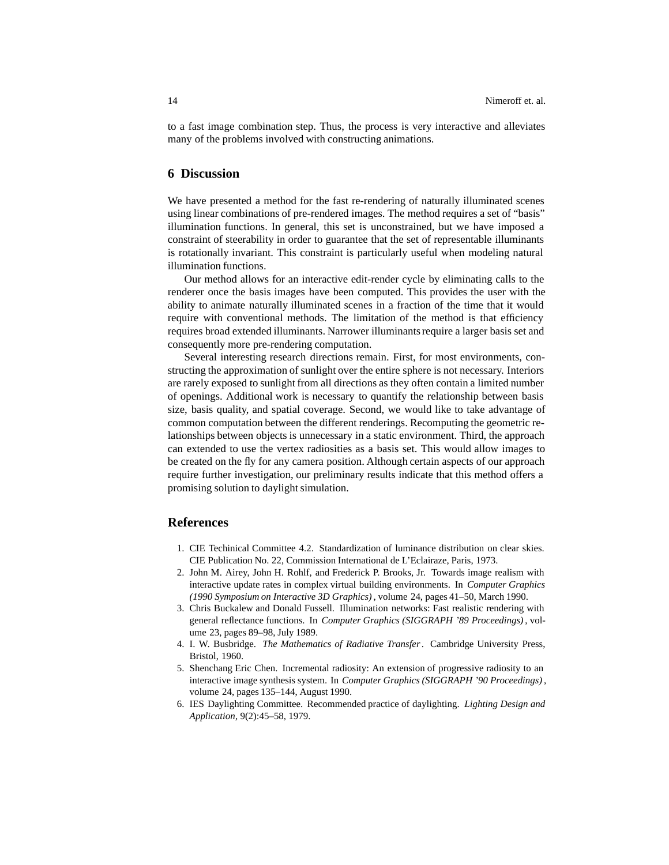to a fast image combination step. Thus, the process is very interactive and alleviates many of the problems involved with constructing animations.

# **6 Discussion**

We have presented a method for the fast re-rendering of naturally illuminated scenes using linear combinations of pre-rendered images. The method requires a set of "basis" illumination functions. In general, this set is unconstrained, but we have imposed a constraint of steerability in order to guarantee that the set of representable illuminants is rotationally invariant. This constraint is particularly useful when modeling natural illumination functions.

Our method allows for an interactive edit-render cycle by eliminating calls to the renderer once the basis images have been computed. This provides the user with the ability to animate naturally illuminated scenes in a fraction of the time that it would require with conventional methods. The limitation of the method is that efficiency requires broad extended illuminants. Narrower illuminants require a larger basis set and consequently more pre-rendering computation.

Several interesting research directions remain. First, for most environments, constructing the approximation of sunlight over the entire sphere is not necessary. Interiors are rarely exposed to sunlight from all directions as they often contain a limited number of openings. Additional work is necessary to quantify the relationship between basis size, basis quality, and spatial coverage. Second, we would like to take advantage of common computation between the different renderings. Recomputing the geometric relationships between objects is unnecessary in a static environment. Third, the approach can extended to use the vertex radiosities as a basis set. This would allow images to be created on the fly for any camera position. Although certain aspects of our approach require further investigation, our preliminary results indicate that this method offers a promising solution to daylight simulation.

## **References**

- 1. CIE Techinical Committee 4.2. Standardization of luminance distribution on clear skies. CIE Publication No. 22, Commission International de L'Eclairaze, Paris, 1973.
- 2. John M. Airey, John H. Rohlf, and Frederick P. Brooks, Jr. Towards image realism with interactive update rates in complex virtual building environments. In *Computer Graphics (1990 Symposium on Interactive 3D Graphics)* , volume 24, pages 41–50, March 1990.
- 3. Chris Buckalew and Donald Fussell. Illumination networks: Fast realistic rendering with general reflectance functions. In *Computer Graphics (SIGGRAPH '89 Proceedings)* , volume 23, pages 89–98, July 1989.
- 4. I. W. Busbridge. *The Mathematics of Radiative Transfer*. Cambridge University Press, Bristol, 1960.
- 5. Shenchang Eric Chen. Incremental radiosity: An extension of progressive radiosity to an interactive image synthesis system. In *Computer Graphics (SIGGRAPH '90 Proceedings)* , volume 24, pages 135–144, August 1990.
- 6. IES Daylighting Committee. Recommended practice of daylighting. *Lighting Design and Application*, 9(2):45–58, 1979.